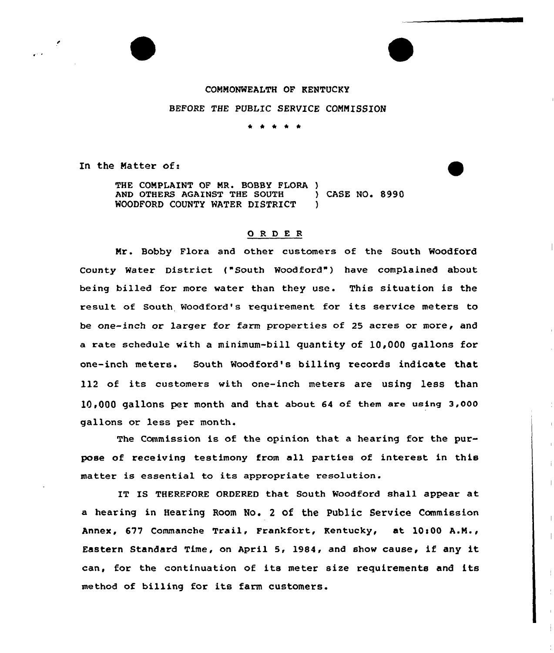## COMMONWEALTH OF KENTUCKY

## BEFORE THE PUBLIC SERVICE COMMISSION

\* <sup>4</sup> \* \* \*

In the Matter of:

THE COMPLAINT OF MR. BOBBY FLORA ) AND OTHERS AGAINST THE SOUTH (ASE NO. 8990)<br>WOODFORD COUNTY WATER DISTRICT (ASE NO. 8990) WOODFORD COUNTY WATER DISTRICT

## 0 <sup>R</sup> <sup>D</sup> E <sup>R</sup>

Mr. Bobby Flora and other customers of the South Woodford County Water District {"South Woodford") have complained about being billed for more water than they use. This situation is the result of South Woodford's requirement for its service meters to be one-inch or larger for farm properties of 25 acres or more, and a rate schedule with a minimum-bill quantity of 10,000 gallons for one-inch meters. South Woodford's billing records indicate that 112 of its customers with one-inch meters are using less than 10>000 gallons per month and that about 64 of them are using 3,000 gallons or less per month.

The Commission is of the opinion that a hearing for the purpose of receiving testimony from all parties of interest in this matter is essential to its appropriate resolution.

IT IS THEREFORE ORDERED that South Woodford shall appear at a hearing in Hearing Room No. <sup>2</sup> of the Public Service Commission Annex, 677 Commanche Trail, Frankfort, Kentucky, at 10:00 A.M., Eastern Standard Time, on April 5, 1984, and show cause, if any it can, for the continuation of its meter size requirements and its method of billing for its farm customers.